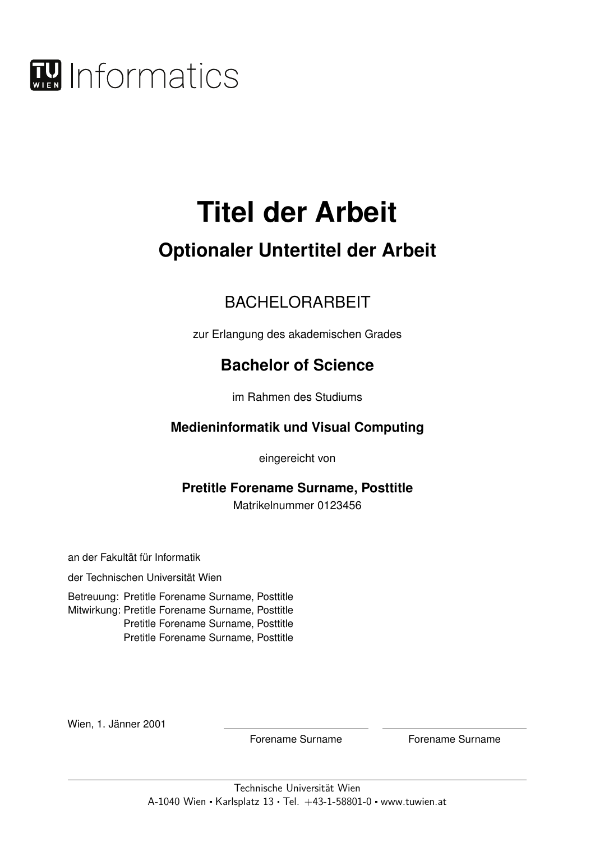

# **Titel der Arbeit**

### **Optionaler Untertitel der Arbeit**

### BACHELORARBEIT

zur Erlangung des akademischen Grades

### **Bachelor of Science**

im Rahmen des Studiums

#### **Medieninformatik und Visual Computing**

eingereicht von

#### **Pretitle Forename Surname, Posttitle**

Matrikelnummer 0123456

an der Fakultät für Informatik

der Technischen Universität Wien

Betreuung: Pretitle Forename Surname, Posttitle Mitwirkung: Pretitle Forename Surname, Posttitle Pretitle Forename Surname, Posttitle Pretitle Forename Surname, Posttitle

Wien, 1. Jänner 2001

Forename Surname Forename Surname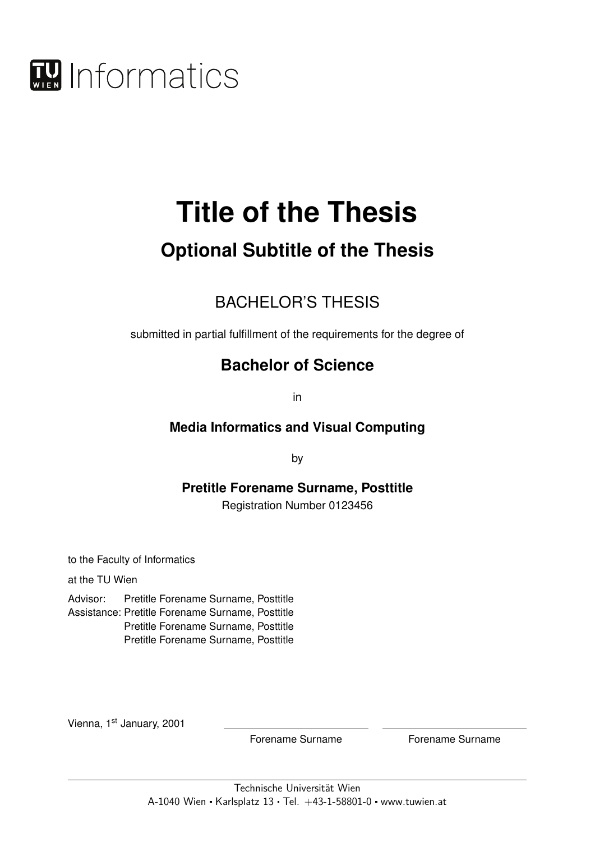

# **Title of the Thesis**

### **Optional Subtitle of the Thesis**

### BACHELOR'S THESIS

submitted in partial fulfillment of the requirements for the degree of

### **Bachelor of Science**

in

#### **Media Informatics and Visual Computing**

by

#### **Pretitle Forename Surname, Posttitle**

Registration Number 0123456

to the Faculty of Informatics

at the TU Wien

Advisor: Pretitle Forename Surname, Posttitle Assistance: Pretitle Forename Surname, Posttitle Pretitle Forename Surname, Posttitle Pretitle Forename Surname, Posttitle

Vienna, 1st January, 2001

Forename Surname Forename Surname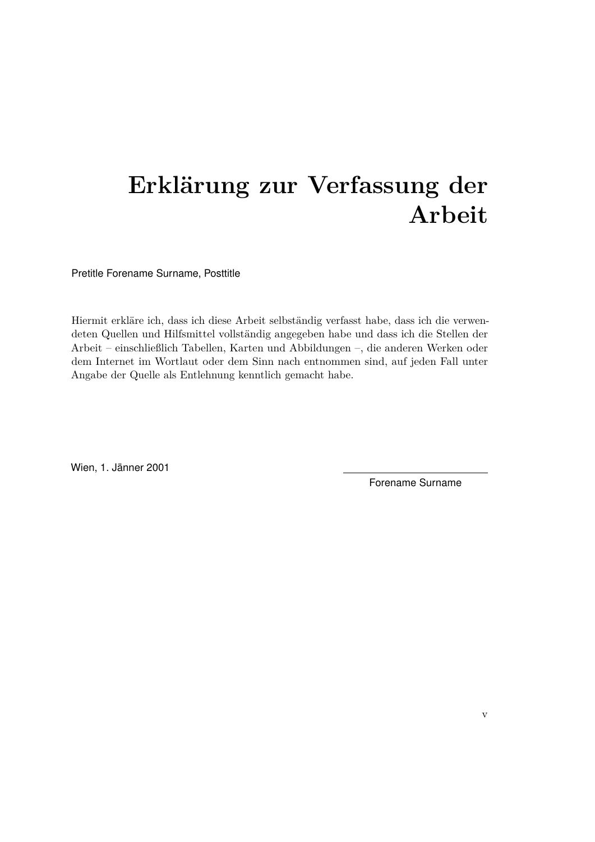### **Erklärung zur Verfassung der Arbeit**

Pretitle Forename Surname, Posttitle

Hiermit erkläre ich, dass ich diese Arbeit selbständig verfasst habe, dass ich die verwendeten Quellen und Hilfsmittel vollständig angegeben habe und dass ich die Stellen der Arbeit – einschließlich Tabellen, Karten und Abbildungen –, die anderen Werken oder dem Internet im Wortlaut oder dem Sinn nach entnommen sind, auf jeden Fall unter Angabe der Quelle als Entlehnung kenntlich gemacht habe.

Wien, 1. Jänner 2001

Forename Surname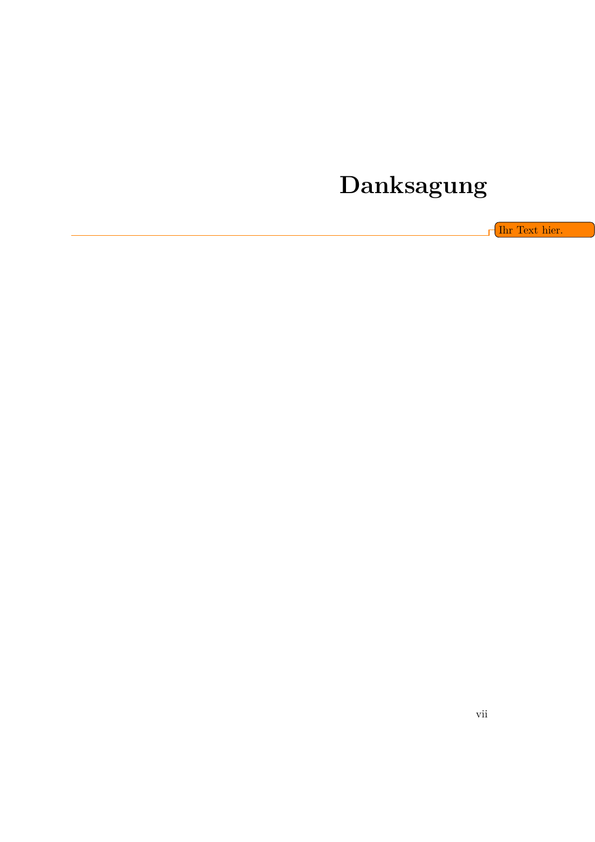# Danksagung

Ihr Text hier.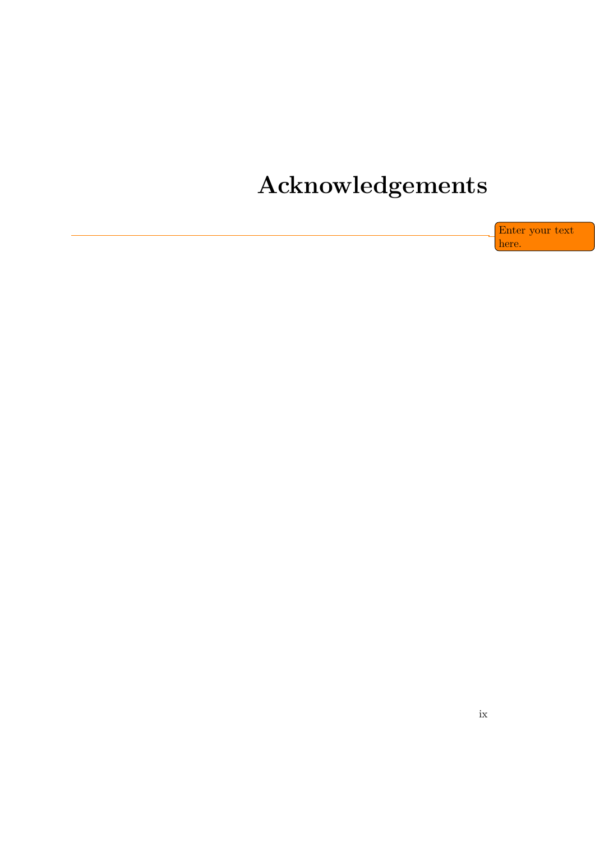# **Acknowledgements**

| Enter your text |  |
|-----------------|--|
| here.           |  |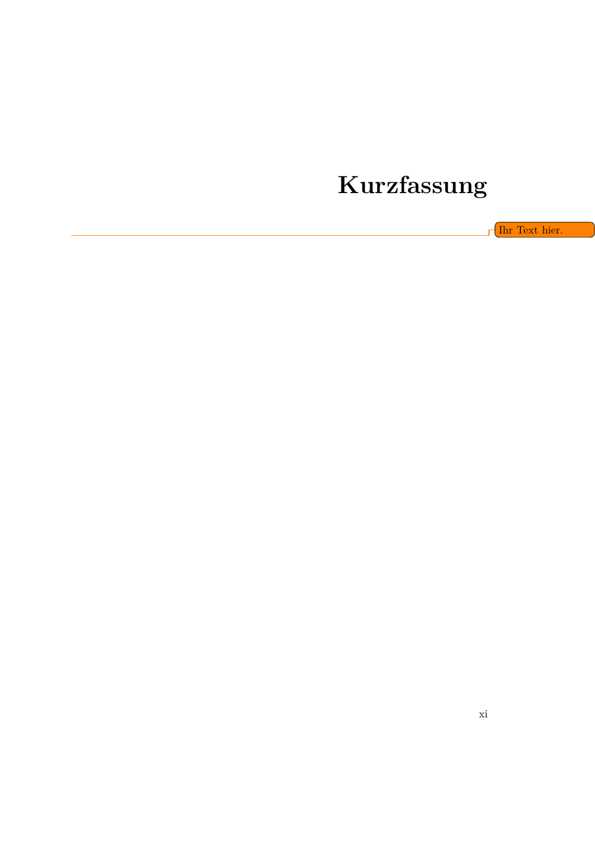# <span id="page-10-0"></span>**Kurzfassung**

Ihr Text hier.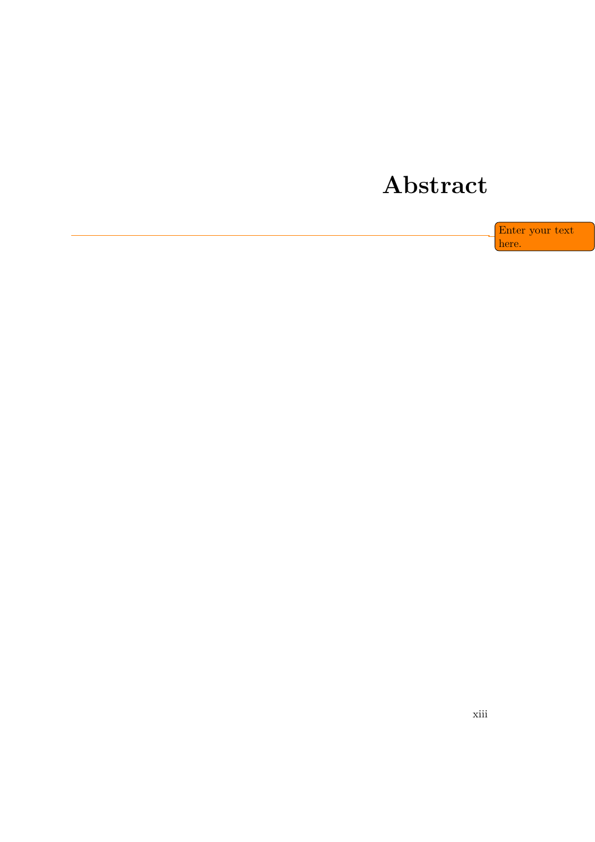### **Abstract**

<span id="page-12-0"></span>

xiii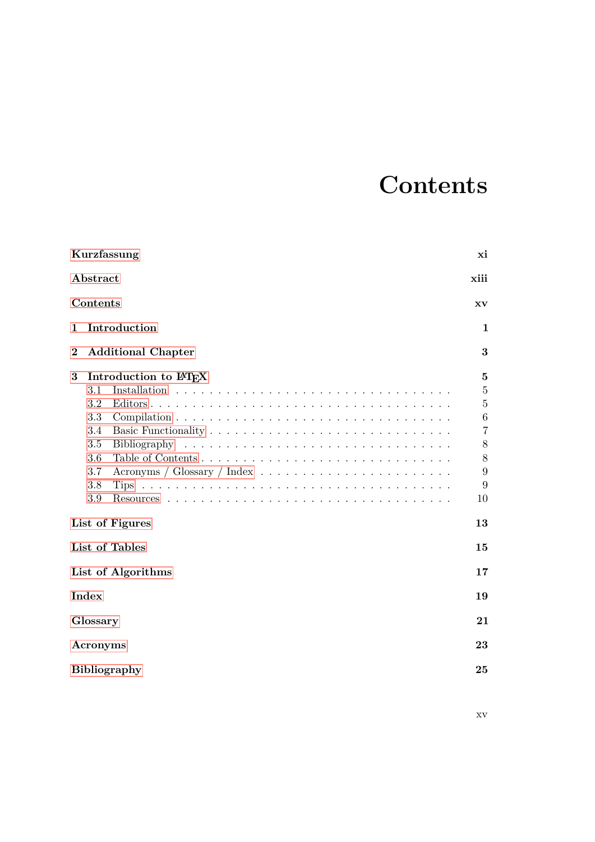## **Contents**

<span id="page-14-0"></span>

|          | Kurzfassung<br>Abstract<br>Introduction<br><b>Additional Chapter</b><br>Introduction to LAT <sub>F</sub> X<br>3.1<br>3.2<br>3.3<br>3.4<br>$3.5\,$<br>Bibliography<br>3.6<br>$Acoronyms / Glossary / Index$<br>3.7<br>3.8 | хi                                                                                            |  |  |  |  |  |
|----------|--------------------------------------------------------------------------------------------------------------------------------------------------------------------------------------------------------------------------|-----------------------------------------------------------------------------------------------|--|--|--|--|--|
|          |                                                                                                                                                                                                                          | xiii                                                                                          |  |  |  |  |  |
|          |                                                                                                                                                                                                                          | XV                                                                                            |  |  |  |  |  |
| 1        |                                                                                                                                                                                                                          | $\mathbf 1$                                                                                   |  |  |  |  |  |
| $\bf{2}$ |                                                                                                                                                                                                                          | 3                                                                                             |  |  |  |  |  |
| 3        | $3.9\,$                                                                                                                                                                                                                  | $\bf{5}$<br>$\overline{5}$<br>$\overline{5}$<br>6<br>$\overline{7}$<br>8<br>8<br>9<br>9<br>10 |  |  |  |  |  |
|          | Contents<br>List of Figures<br>13<br>List of Tables<br>List of Algorithms<br>Index<br>Glossary<br>Acronyms                                                                                                               |                                                                                               |  |  |  |  |  |
|          |                                                                                                                                                                                                                          | 15                                                                                            |  |  |  |  |  |
|          |                                                                                                                                                                                                                          | 17                                                                                            |  |  |  |  |  |
|          |                                                                                                                                                                                                                          | 19                                                                                            |  |  |  |  |  |
|          |                                                                                                                                                                                                                          | 21                                                                                            |  |  |  |  |  |
|          |                                                                                                                                                                                                                          | 23                                                                                            |  |  |  |  |  |
|          | <b>Bibliography</b>                                                                                                                                                                                                      | 25                                                                                            |  |  |  |  |  |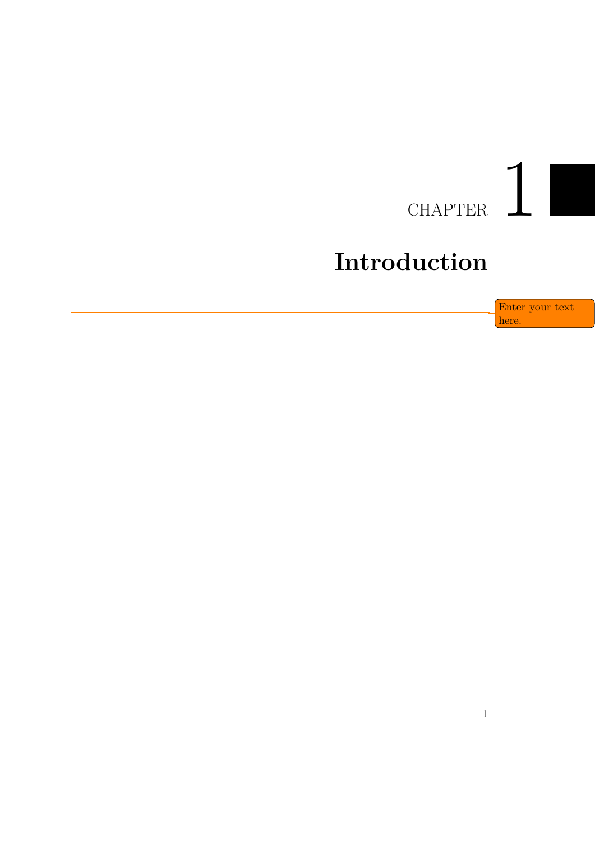

# <span id="page-16-0"></span>**Introduction**

Enter your text here.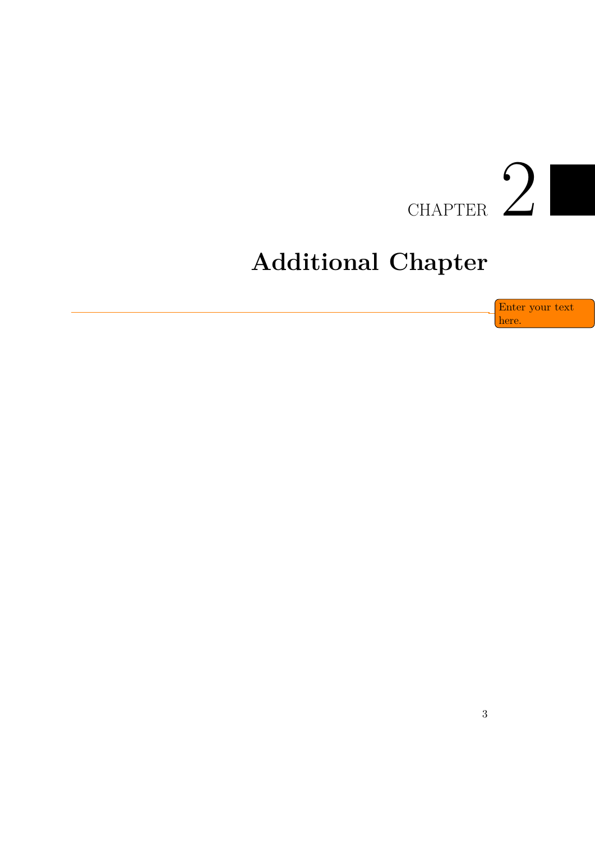# CHAPTER 2

# <span id="page-18-0"></span>**Additional Chapter**

Enter your text here.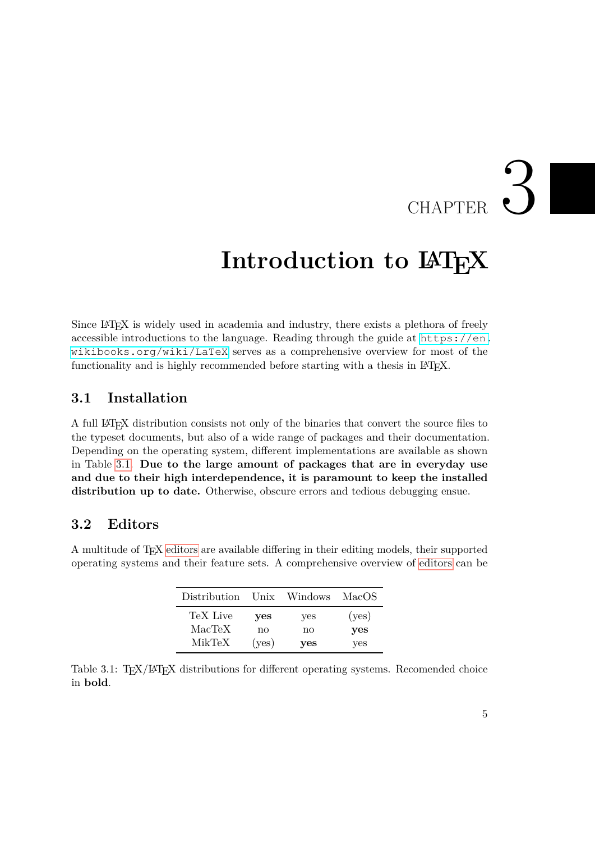# CHAPTER 3

## <span id="page-20-4"></span><span id="page-20-0"></span>**Introduction to LATEX**

Since LATEX is widely used in academia and industry, there exists a plethora of freely accessible introductions to the language. Reading through the guide at  $h$ ttps://en. [wikibooks.org/wiki/LaTeX](https://en.wikibooks.org/wiki/LaTeX) serves as a comprehensive overview for most of the functionality and is highly recommended before starting with a thesis in LAT<sub>E</sub>X.

#### <span id="page-20-1"></span>**3.1 Installation**

A full LATEX distribution consists not only of the binaries that convert the source files to the typeset documents, but also of a wide range of packages and their documentation. Depending on the operating system, different implementations are available as shown in Table [3.1.](#page-20-3) **Due to the large amount of packages that are in everyday use and due to their high interdependence, it is paramount to keep the installed distribution up to date.** Otherwise, obscure errors and tedious debugging ensue.

#### <span id="page-20-2"></span>**3.2 Editors**

<span id="page-20-3"></span>A multitude of TEX [editors](#page-36-1) are available differing in their editing models, their supported operating systems and their feature sets. A comprehensive overview of [editors](#page-36-1) can be

| Distribution |       | Unix Windows | MacOS |
|--------------|-------|--------------|-------|
| TeX Live     | yes   | yes          | (yes) |
| MacTeX       | no    | no           | yes   |
| MikTeX       | (yes) | yes          | yes   |

Table 3.1: TEX/LATEX distributions for different operating systems. Recomended choice in **bold**.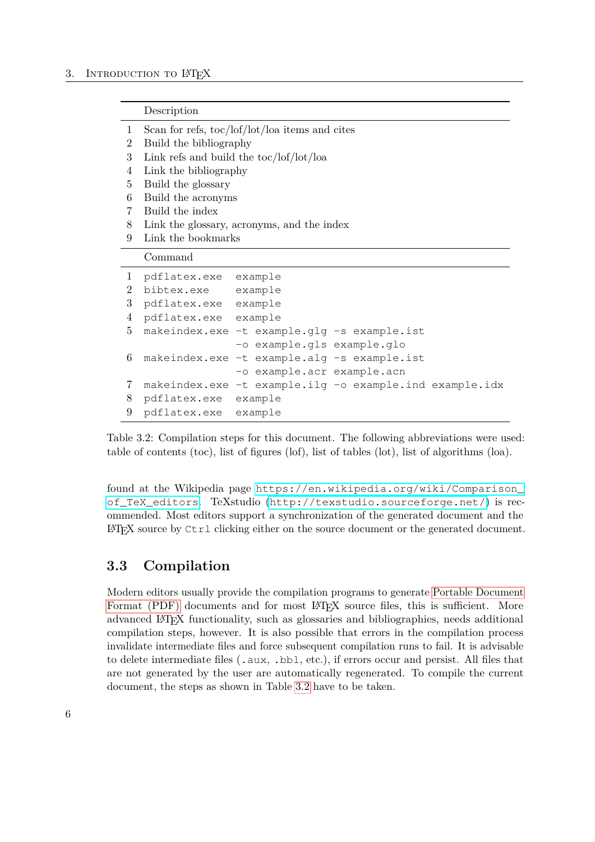<span id="page-21-2"></span><span id="page-21-1"></span>

|                | Description            |                                                                                       |  |  |  |  |  |  |  |  |  |  |  |
|----------------|------------------------|---------------------------------------------------------------------------------------|--|--|--|--|--|--|--|--|--|--|--|
| $\mathbf{1}$   |                        | Scan for refs, $\frac{\text{toc}}{\text{lot}}\text{dot}/\text{load}}$ items and cites |  |  |  |  |  |  |  |  |  |  |  |
| $\overline{2}$ | Build the bibliography |                                                                                       |  |  |  |  |  |  |  |  |  |  |  |
| 3              |                        | Link refs and build the $\frac{\text{toc}}{\text{bot}}$ /lot/loa                      |  |  |  |  |  |  |  |  |  |  |  |
| 4              | Link the bibliography  |                                                                                       |  |  |  |  |  |  |  |  |  |  |  |
| 5              | Build the glossary     |                                                                                       |  |  |  |  |  |  |  |  |  |  |  |
| 6              | Build the acronyms     |                                                                                       |  |  |  |  |  |  |  |  |  |  |  |
| 7              | Build the index        |                                                                                       |  |  |  |  |  |  |  |  |  |  |  |
| 8              |                        | Link the glossary, acronyms, and the index                                            |  |  |  |  |  |  |  |  |  |  |  |
| 9              | Link the bookmarks     |                                                                                       |  |  |  |  |  |  |  |  |  |  |  |
|                | Command                |                                                                                       |  |  |  |  |  |  |  |  |  |  |  |
| 1              | pdflatex.exe example   |                                                                                       |  |  |  |  |  |  |  |  |  |  |  |
| $\overline{2}$ | bibtex.exe example     |                                                                                       |  |  |  |  |  |  |  |  |  |  |  |
| 3              | pdflatex.exe example   |                                                                                       |  |  |  |  |  |  |  |  |  |  |  |
| 4              | pdflatex.exe example   |                                                                                       |  |  |  |  |  |  |  |  |  |  |  |
| 5              |                        | makeindex.exe -t example.glg -s example.ist                                           |  |  |  |  |  |  |  |  |  |  |  |
|                |                        | -o example.gls example.glo                                                            |  |  |  |  |  |  |  |  |  |  |  |
| 6              |                        | makeindex.exe -t example.alg -s example.ist                                           |  |  |  |  |  |  |  |  |  |  |  |
|                |                        | -o example.acr example.acn                                                            |  |  |  |  |  |  |  |  |  |  |  |
| 7              |                        | makeindex.exe -t example.ilg -o example.ind example.idx                               |  |  |  |  |  |  |  |  |  |  |  |
| 8              | pdflatex.exe example   |                                                                                       |  |  |  |  |  |  |  |  |  |  |  |
| 9              | pdflatex.exe example   |                                                                                       |  |  |  |  |  |  |  |  |  |  |  |

Table 3.2: Compilation steps for this document. The following abbreviations were used: table of contents (toc), list of figures (lof), list of tables (lot), list of algorithms (loa).

found at the Wikipedia page [https://en.wikipedia.org/wiki/Comparison\\_](https://en.wikipedia.org/wiki/Comparison_of_TeX_editors) [of\\_TeX\\_editors](https://en.wikipedia.org/wiki/Comparison_of_TeX_editors). TeXstudio (<http://texstudio.sourceforge.net/>) is recommended. Most editors support a synchronization of the generated document and the LATEX source by Ctrl clicking either on the source document or the generated document.

#### <span id="page-21-0"></span>**3.3 Compilation**

Modern editors usually provide the compilation programs to generate [Portable Document](#page-38-1) [Format \(PDF\)](#page-38-1) documents and for most LAT<sub>EX</sub> source files, this is sufficient. More advanced LATEX functionality, such as glossaries and bibliographies, needs additional compilation steps, however. It is also possible that errors in the compilation process invalidate intermediate files and force subsequent compilation runs to fail. It is advisable to delete intermediate files (.aux, .bbl, etc.), if errors occur and persist. All files that are not generated by the user are automatically regenerated. To compile the current document, the steps as shown in Table [3.2](#page-21-1) have to be taken.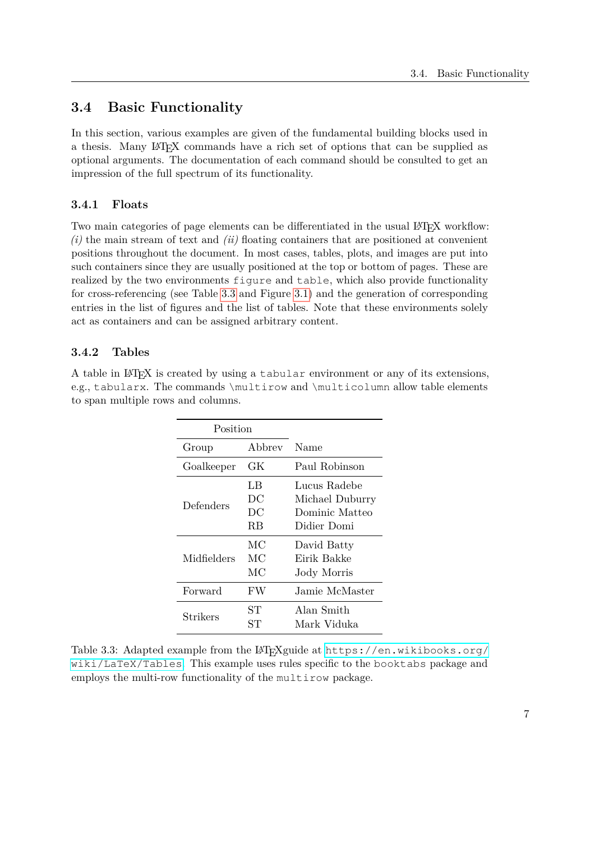#### <span id="page-22-0"></span>**3.4 Basic Functionality**

In this section, various examples are given of the fundamental building blocks used in a thesis. Many LATEX commands have a rich set of options that can be supplied as optional arguments. The documentation of each command should be consulted to get an impression of the full spectrum of its functionality.

#### **3.4.1 Floats**

Two main categories of page elements can be differentiated in the usual LAT<sub>EX</sub> workflow:  $(i)$  the main stream of text and  $(ii)$  floating containers that are positioned at convenient positions throughout the document. In most cases, tables, plots, and images are put into such containers since they are usually positioned at the top or bottom of pages. These are realized by the two environments figure and table, which also provide functionality for cross-referencing (see Table [3.3](#page-22-1) and Figure [3.1\)](#page-23-2) and the generation of corresponding entries in the list of figures and the list of tables. Note that these environments solely act as containers and can be assigned arbitrary content.

#### **3.4.2 Tables**

<span id="page-22-1"></span>A table in LATEX is created by using a tabular environment or any of its extensions, e.g., tabularx. The commands \multirow and \multicolumn allow table elements to span multiple rows and columns.

| Position    |                      |                                                                  |
|-------------|----------------------|------------------------------------------------------------------|
| Group       | <b>Abbrey</b>        | Name                                                             |
| Goalkeeper  | GК                   | Paul Robinson                                                    |
| Defenders   | LB<br>DC<br>DС<br>RВ | Lucus Radebe<br>Michael Duburry<br>Dominic Matteo<br>Didier Domi |
| Midfielders | МC<br>МC<br>МC       | David Batty<br>Eirik Bakke<br>Jody Morris                        |
| Forward     | FW                   | Jamie McMaster                                                   |
| Strikers    | SТ<br>SТ             | Alan Smith<br>Mark Viduka                                        |

Table 3.3: Adapted example from the LATEXguide at [https://en.wikibooks.org/](https://en.wikibooks.org/wiki/LaTeX/Tables) [wiki/LaTeX/Tables](https://en.wikibooks.org/wiki/LaTeX/Tables). This example uses rules specific to the booktabs package and employs the multi-row functionality of the multirow package.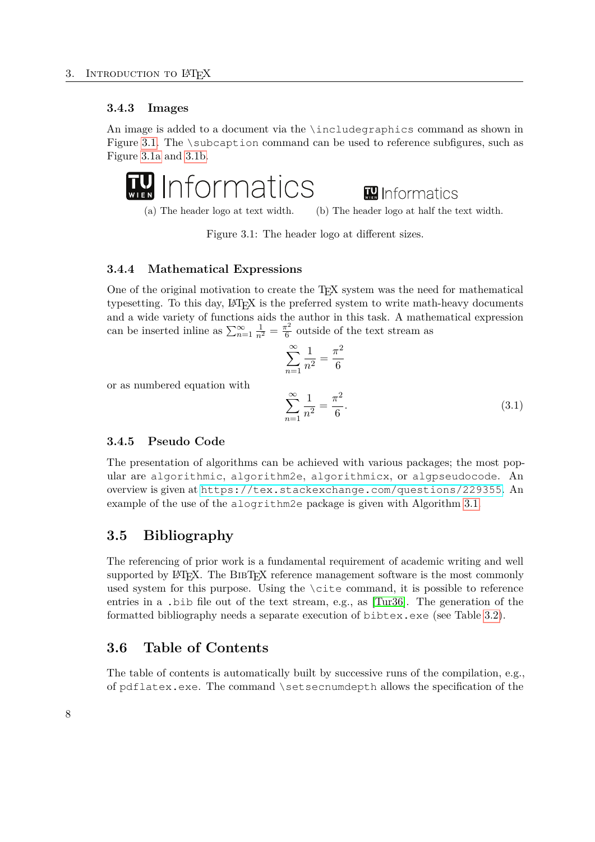#### **3.4.3 Images**

An image is added to a document via the \includegraphics command as shown in Figure [3.1.](#page-23-2) The \subcaption command can be used to reference subfigures, such as Figure [3.1a](#page-23-2) and [3.1b.](#page-23-2)

<span id="page-23-2"></span>

(a) The header logo at text width. (b) The header logo at half the text width.

Figure 3.1: The header logo at different sizes.

#### **3.4.4 Mathematical Expressions**

One of the original motivation to create the T<sub>E</sub>X system was the need for mathematical typesetting. To this day, LAT<sub>E</sub>X is the preferred system to write math-heavy documents and a wide variety of functions aids the author in this task. A mathematical expression can be inserted in line as  $\sum_{n=1}^{\infty} \frac{1}{n^2} = \frac{\pi^2}{6}$  $\frac{\pi^2}{6}$  outside of the text stream as

$$
\sum_{n=1}^{\infty} \frac{1}{n^2} = \frac{\pi^2}{6}
$$
  

$$
\sum_{n=1}^{\infty} \frac{1}{n^2} = \frac{\pi^2}{6}.
$$
 (3.1)

#### **3.4.5 Pseudo Code**

or as numbered equation with

The presentation of algorithms can be achieved with various packages; the most popular are algorithmic, algorithm2e, algorithmicx, or algpseudocode. An overview is given at <https://tex.stackexchange.com/questions/229355>. An example of the use of the alogrithm2e package is given with Algorithm [3.1.](#page-24-2)

#### <span id="page-23-0"></span>**3.5 Bibliography**

The referencing of prior work is a fundamental requirement of academic writing and well supported by L<sup>A</sup>T<sub>E</sub>X. The BIBT<sub>E</sub>X reference management software is the most commonly used system for this purpose. Using the \cite command, it is possible to reference entries in a .bib file out of the text stream, e.g., as [\[Tur36\]](#page-40-1). The generation of the formatted bibliography needs a separate execution of bibtex.exe (see Table [3.2\)](#page-21-1).

#### <span id="page-23-1"></span>**3.6 Table of Contents**

The table of contents is automatically built by successive runs of the compilation, e.g., of pdflatex.exe. The command \setsecnumdepth allows the specification of the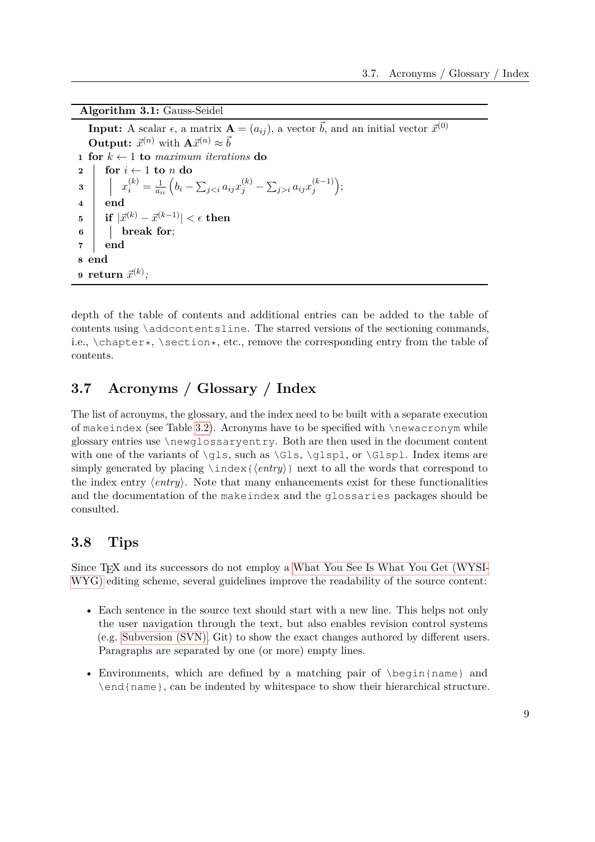#### <span id="page-24-3"></span>**Algorithm 3.1:** Gauss-Seidel

**Input:** A scalar  $\epsilon$ , a matrix  $\mathbf{A} = (a_{ij})$ , a vector  $\vec{b}$ , and an initial vector  $\vec{x}^{(0)}$ **Output:**  $\vec{x}^{(n)}$  with  $\mathbf{A}\vec{x}^{(n)} \approx \vec{b}$ **1 for**  $k \leftarrow 1$  **to** *maximum iterations* **do 2 for**  $i \leftarrow 1$  **to** *n* **do**  $\bm{s} \quad \Big| \quad x_i^{(k)} = \frac{1}{a_{ii}} \left( b_i - \sum_{j < i} a_{ij} x_j^{(k)} - \sum_{j > i} a_{ij} x_j^{(k-1)} \right)$  $\binom{(k-1)}{j};$ **4 end 5 if**  $|\vec{x}^{(k)} - \vec{x}^{(k-1)}| < \epsilon$  **then 6 break for**; **7 end 8 end**  ${\bf 9}$   ${\bf return}$   $\vec{x}^{(k)};$ 

<span id="page-24-2"></span>depth of the table of contents and additional entries can be added to the table of contents using \addcontentsline. The starred versions of the sectioning commands, i.e.,  $\ch{h}$  is ection\*, etc., remove the corresponding entry from the table of contents.

#### <span id="page-24-0"></span>**3.7 Acronyms / Glossary / Index**

The list of acronyms, the glossary, and the index need to be built with a separate execution of makeindex (see Table [3.2\)](#page-21-1). Acronyms have to be specified with \newacronym while glossary entries use \newglossaryentry. Both are then used in the document content with one of the variants of  $\qquads$ , such as  $\Gls$ ,  $\qlspl$ , or  $\Glspl$ . Index items are simply generated by placing  $\in{\ell^{\ntilde{r}}}\$  next to all the words that correspond to the index entry  $\langle entry \rangle$ . Note that many enhancements exist for these functionalities and the documentation of the makeindex and the glossaries packages should be consulted.

#### <span id="page-24-1"></span>**3.8 Tips**

Since TEX and its successors do not employ a [What You See Is What You Get \(WYSI-](#page-38-2)[WYG\)](#page-38-2) editing scheme, several guidelines improve the readability of the source content:

- Each sentence in the source text should start with a new line. This helps not only the user navigation through the text, but also enables revision control systems (e.g. [Subversion \(SVN\),](#page-38-3) Git) to show the exact changes authored by different users. Paragraphs are separated by one (or more) empty lines.
- Environments, which are defined by a matching pair of  $\begin{array}{c}$  and \end{name}, can be indented by whitespace to show their hierarchical structure.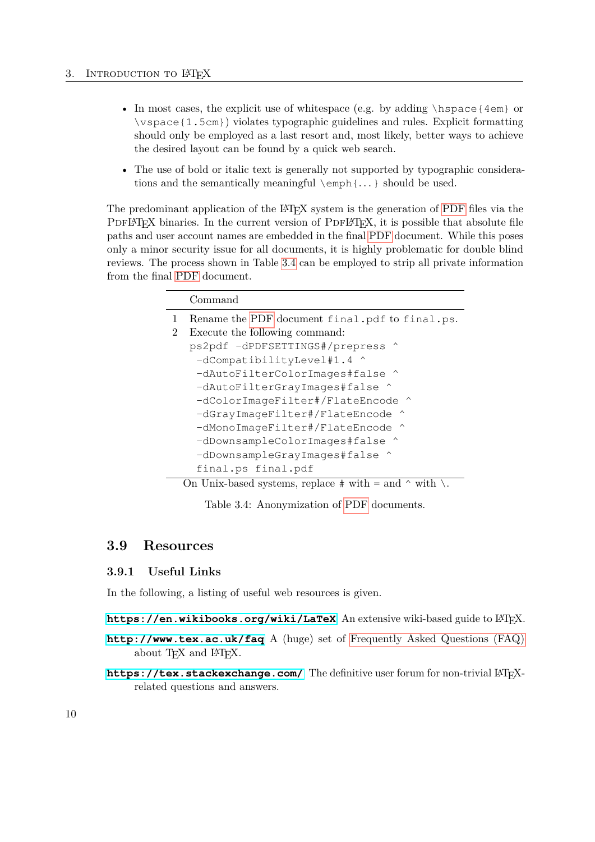- <span id="page-25-2"></span>• In most cases, the explicit use of whitespace (e.g. by adding  $\hbox{pspace}$  4em} or \vspace{1.5cm}) violates typographic guidelines and rules. Explicit formatting should only be employed as a last resort and, most likely, better ways to achieve the desired layout can be found by a quick web search.
- The use of bold or italic text is generally not supported by typographic considerations and the semantically meaningful \emph{*. . .* } should be used.

The predominant application of the LAT<sub>EX</sub> system is the generation of [PDF](#page-38-1) files via the PDFLATEX binaries. In the current version of PDFLATEX, it is possible that absolute file paths and user account names are embedded in the final [PDF](#page-38-1) document. While this poses only a minor security issue for all documents, it is highly problematic for double blind reviews. The process shown in Table [3.4](#page-25-1) can be employed to strip all private information from the final [PDF](#page-38-1) document.

<span id="page-25-1"></span>

|   | Command                                        |
|---|------------------------------------------------|
| 1 | Rename the PDF document final.pdf to final.ps. |
| 2 | Execute the following command:                 |
|   | ps2pdf -dPDFSETTINGS#/prepress                 |
|   | -dCompatibilityLevel#1.4 ^                     |
|   | -dAutoFilterColorImages#false ^                |
|   | -dAutoFilterGrayImages#false ^                 |
|   | -dColorImageFilter#/FlateEncode ^              |
|   | -dGrayImageFilter#/FlateEncode                 |
|   | -dMonoImageFilter#/FlateEncode<br>$\wedge$     |
|   | -dDownsampleColorImages#false ^                |
|   | -dDownsampleGrayImages#false ^                 |
|   | final.ps final.pdf                             |

On Unix-based systems, replace  $\#$  with = and  $\land$  with  $\setminus$ .

Table 3.4: Anonymization of [PDF](#page-38-1) documents.

#### <span id="page-25-0"></span>**3.9 Resources**

#### **3.9.1 Useful Links**

In the following, a listing of useful web resources is given.

<https://en.wikibooks.org/wiki/LaTeX> An extensive wiki-based guide to LAT<sub>EX</sub>.

- **<http://www.tex.ac.uk/faq>** A (huge) set of [Frequently Asked Questions \(FAQ\)](#page-38-4) about T<sub>E</sub>X and L<sup>AT</sup>EX.
- <https://tex.stackexchange.com/> The definitive user forum for non-trivial L<sup>AT</sup>FXrelated questions and answers.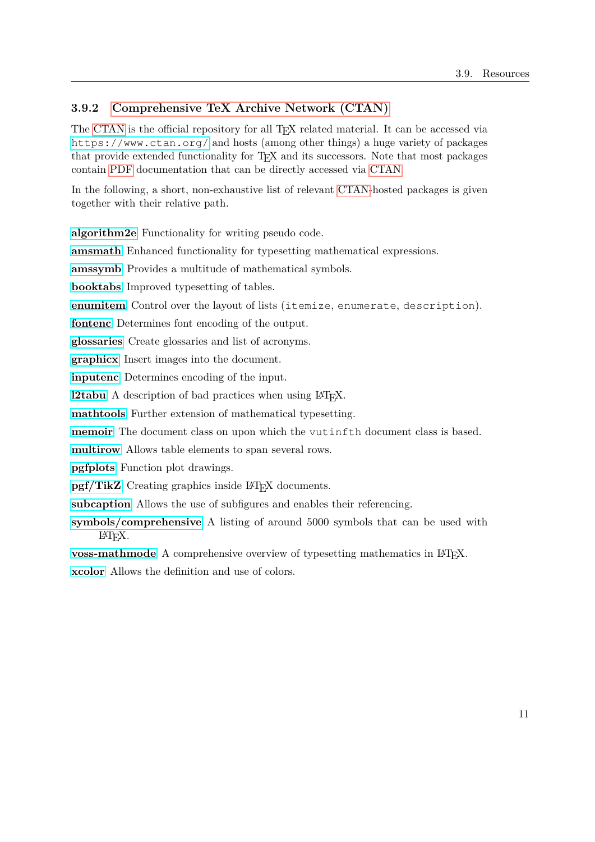#### <span id="page-26-0"></span>**3.9.2 [Comprehensive TeX Archive Network \(CTAN\)](#page-38-5)**

The [CTAN](#page-38-5) is the official repository for all T<sub>EX</sub> related material. It can be accessed via <https://www.ctan.org/> and hosts (among other things) a huge variety of packages that provide extended functionality for TEX and its successors. Note that most packages contain [PDF](#page-38-1) documentation that can be directly accessed via [CTAN.](#page-38-5)

In the following, a short, non-exhaustive list of relevant [CTAN-](#page-38-5)hosted packages is given together with their relative path.

**[algorithm2e](https://www.ctan.org/pkg/algorithm2e)** Functionality for writing pseudo code.

**[amsmath](https://www.ctan.org/pkg/amsmath)** Enhanced functionality for typesetting mathematical expressions.

**[amssymb](https://www.ctan.org/pkg/amsfonts)** Provides a multitude of mathematical symbols.

**[booktabs](https://www.ctan.org/pkg/booktabs)** Improved typesetting of tables.

**[enumitem](https://www.ctan.org/pkg/enumitem)** Control over the layout of lists (itemize, enumerate, description).

**[fontenc](https://www.ctan.org/pkg/fontenc)** Determines font encoding of the output.

**[glossaries](https://www.ctan.org/pkg/glossaries)** Create glossaries and list of acronyms.

**[graphicx](https://www.ctan.org/pkg/graphicx)** Insert images into the document.

**[inputenc](https://www.ctan.org/pkg/inputenc)** Determines encoding of the input.

**[l2tabu](https://www.ctan.org/pkg/l2tabu)** A description of bad practices when using LAT<sub>EX</sub>.

**[mathtools](https://www.ctan.org/pkg/mathtools)** Further extension of mathematical typesetting.

**[memoir](https://www.ctan.org/pkg/memoir)** The document class on upon which the vutinfth document class is based.

**[multirow](https://www.ctan.org/pkg/multirow)** Allows table elements to span several rows.

**[pgfplots](https://www.ctan.org/pkg/pgfplots)** Function plot drawings.

**[pgf/TikZ](https://www.ctan.org/pkg/pgf)** Creating graphics inside LAT<sub>EX</sub> documents.

**[subcaption](https://www.ctan.org/pkg/subcaption)** Allows the use of subfigures and enables their referencing.

**[symbols/comprehensive](https://www.ctan.org/tex-archive/info/symbols/comprehensive/)** A listing of around 5000 symbols that can be used with LATEX.

**[voss-mathmode](https://www.ctan.org/pkg/voss-mathmode)** A comprehensive overview of typesetting mathematics in LAT<sub>E</sub>X.

**[xcolor](https://www.ctan.org/pkg/xcolor)** Allows the definition and use of colors.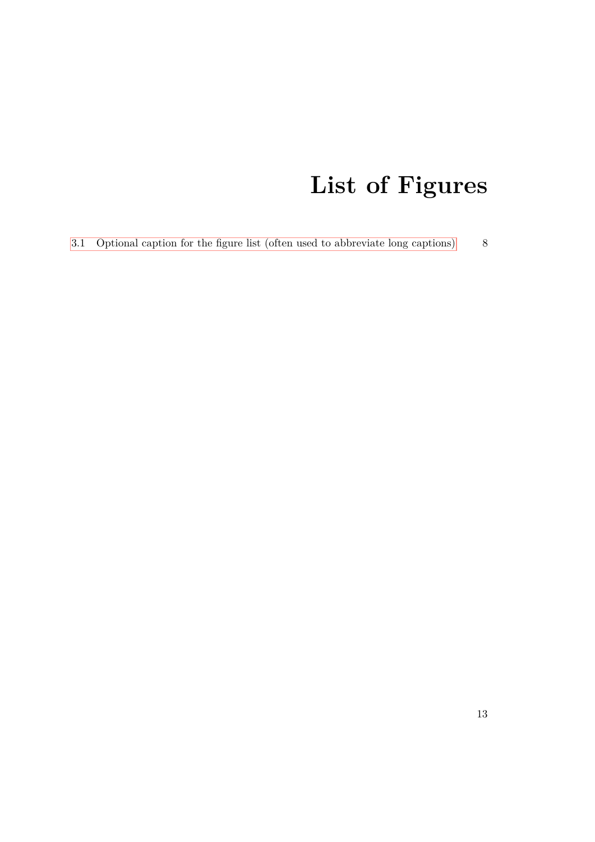# **List of Figures**

<span id="page-28-0"></span>

|  |  |  |  | 3.1 Optional caption for the figure list (often used to abbreviate long captions) |  |  |
|--|--|--|--|-----------------------------------------------------------------------------------|--|--|
|  |  |  |  |                                                                                   |  |  |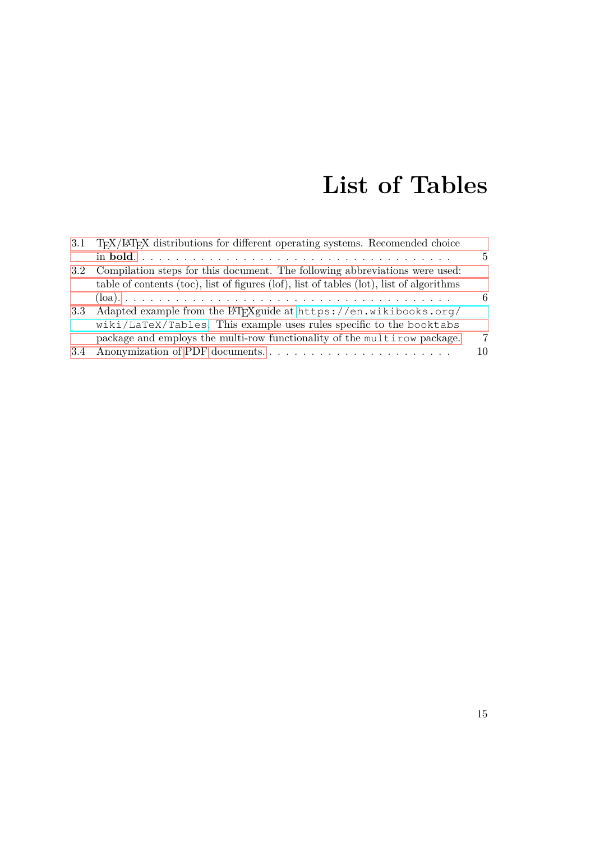# **List of Tables**

<span id="page-30-1"></span><span id="page-30-0"></span>

|     | 3.1 T <sub>F</sub> X/L <sup>A</sup> T <sub>F</sub> X distributions for different operating systems. Recomended choice |    |
|-----|-----------------------------------------------------------------------------------------------------------------------|----|
|     |                                                                                                                       | .5 |
| 3.2 | Compilation steps for this document. The following abbreviations were used:                                           |    |
|     | table of contents (toc), list of figures (lof), list of tables (lot), list of algorithms                              |    |
|     |                                                                                                                       |    |
| 3.3 | Adapted example from the LAT <sub>F</sub> Xguide at https://en.wikibooks.org/                                         |    |
|     | wiki/LaTeX/Tables. This example uses rules specific to the booktabs                                                   |    |
|     | package and employs the multi-row functionality of the multirow package.                                              | 7  |
| 3.4 | Anonymization of PDF documents                                                                                        |    |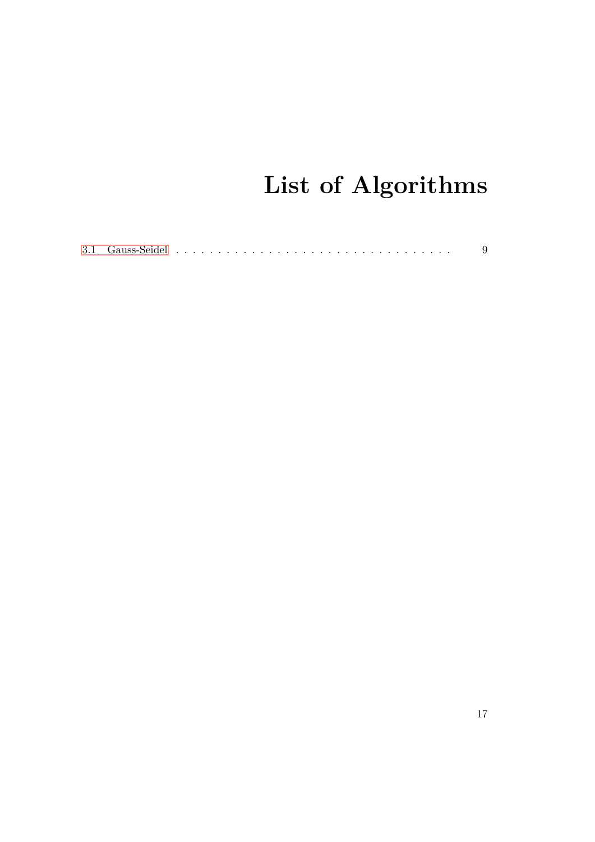# **List of Algorithms**

<span id="page-32-0"></span>

| 3.1<br>Gauss-Seidel |  |  |  |  |  |  |  |  |  |  |  |  |  |  |  |  |  |  |  |  |  |  |  |  |  |  |  |  |  |  |  |  |  |  |  |  |
|---------------------|--|--|--|--|--|--|--|--|--|--|--|--|--|--|--|--|--|--|--|--|--|--|--|--|--|--|--|--|--|--|--|--|--|--|--|--|
|---------------------|--|--|--|--|--|--|--|--|--|--|--|--|--|--|--|--|--|--|--|--|--|--|--|--|--|--|--|--|--|--|--|--|--|--|--|--|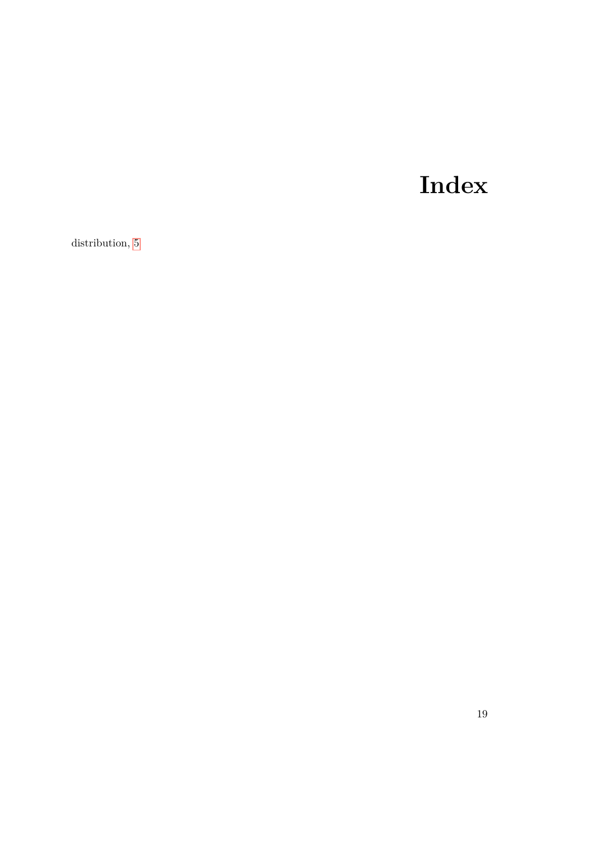# **Index**

<span id="page-34-0"></span>distribution, [5](#page-20-4)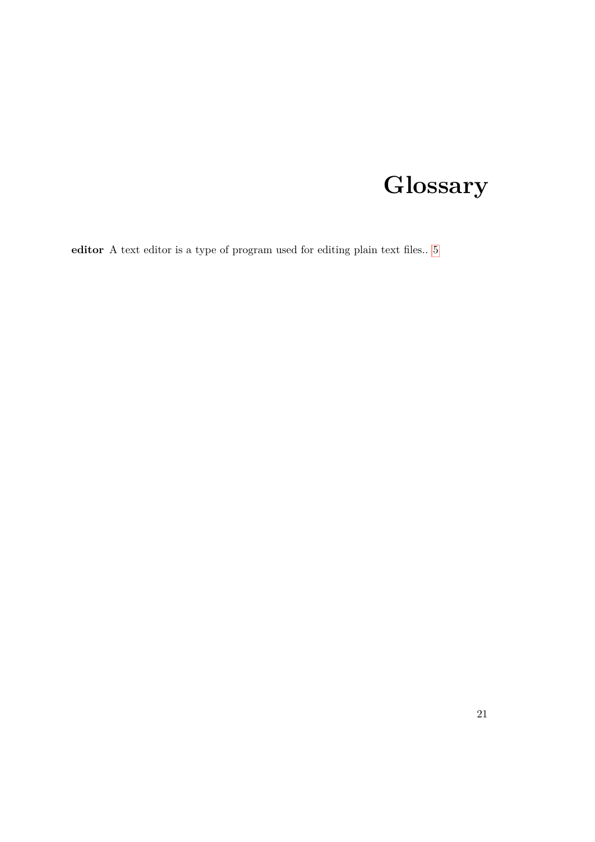# **Glossary**

<span id="page-36-1"></span><span id="page-36-0"></span>**editor** A text editor is a type of program used for editing plain text files.. [5](#page-20-4)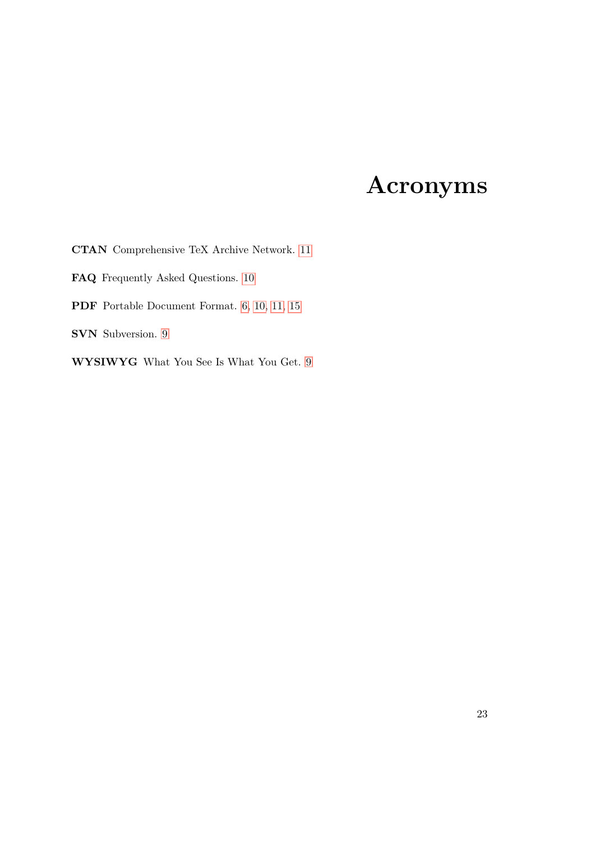### **Acronyms**

<span id="page-38-5"></span><span id="page-38-0"></span>**CTAN** Comprehensive TeX Archive Network. [11](#page-26-0)

<span id="page-38-4"></span>**FAQ** Frequently Asked Questions. [10](#page-25-2)

<span id="page-38-1"></span>**PDF** Portable Document Format. [6,](#page-21-2) [10,](#page-25-2) [11,](#page-26-0) [15](#page-30-1)

<span id="page-38-3"></span>**SVN** Subversion. [9](#page-24-3)

<span id="page-38-2"></span>**WYSIWYG** What You See Is What You Get. [9](#page-24-3)